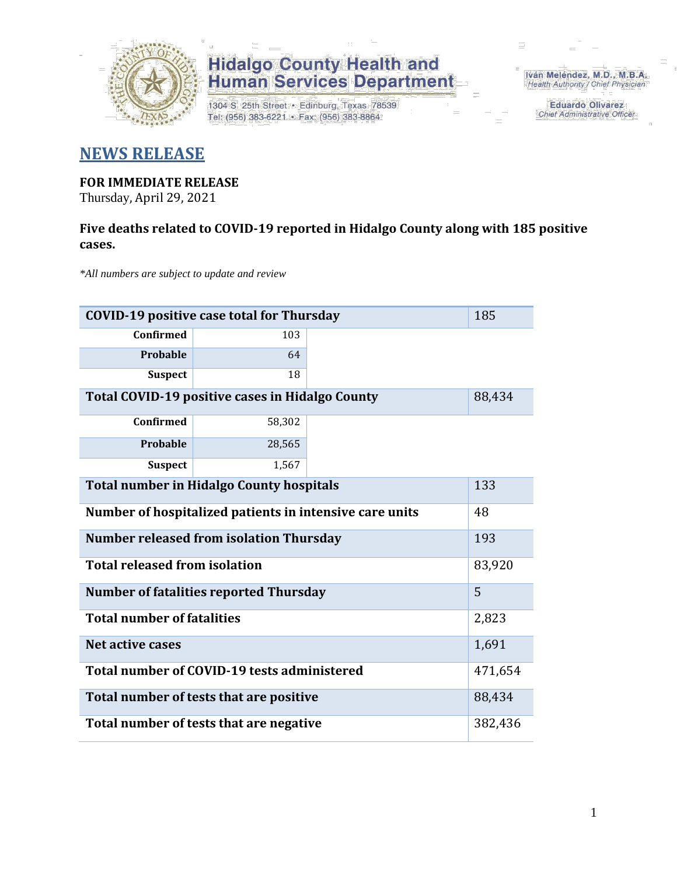

1304 S. 25th Street · Edinburg, Texas 78539 Tel: (956) 383-6221 · Fax: (956) 383-8864

Iván Meléndez, M.D., M.B.A. Health Authority / Chief Physician

> **Eduardo Olivarez** Chief Administrative Officer

### **NEWS RELEASE**

### **FOR IMMEDIATE RELEASE**

Thursday, April 29, 2021

### **Five deaths related to COVID-19 reported in Hidalgo County along with 185 positive cases.**

*\*All numbers are subject to update and review*

| 185<br><b>COVID-19 positive case total for Thursday</b> |         |  |  |  |  |  |
|---------------------------------------------------------|---------|--|--|--|--|--|
| Confirmed                                               | 103     |  |  |  |  |  |
| Probable                                                | 64      |  |  |  |  |  |
| <b>Suspect</b>                                          | 18      |  |  |  |  |  |
| <b>Total COVID-19 positive cases in Hidalgo County</b>  | 88,434  |  |  |  |  |  |
| <b>Confirmed</b>                                        | 58,302  |  |  |  |  |  |
| Probable                                                | 28,565  |  |  |  |  |  |
| <b>Suspect</b>                                          | 1,567   |  |  |  |  |  |
| <b>Total number in Hidalgo County hospitals</b>         |         |  |  |  |  |  |
| Number of hospitalized patients in intensive care units | 48      |  |  |  |  |  |
| <b>Number released from isolation Thursday</b><br>193   |         |  |  |  |  |  |
| <b>Total released from isolation</b>                    | 83,920  |  |  |  |  |  |
| <b>Number of fatalities reported Thursday</b>           | 5       |  |  |  |  |  |
| <b>Total number of fatalities</b>                       | 2,823   |  |  |  |  |  |
| <b>Net active cases</b>                                 | 1,691   |  |  |  |  |  |
| Total number of COVID-19 tests administered             | 471,654 |  |  |  |  |  |
| Total number of tests that are positive                 |         |  |  |  |  |  |
| Total number of tests that are negative                 |         |  |  |  |  |  |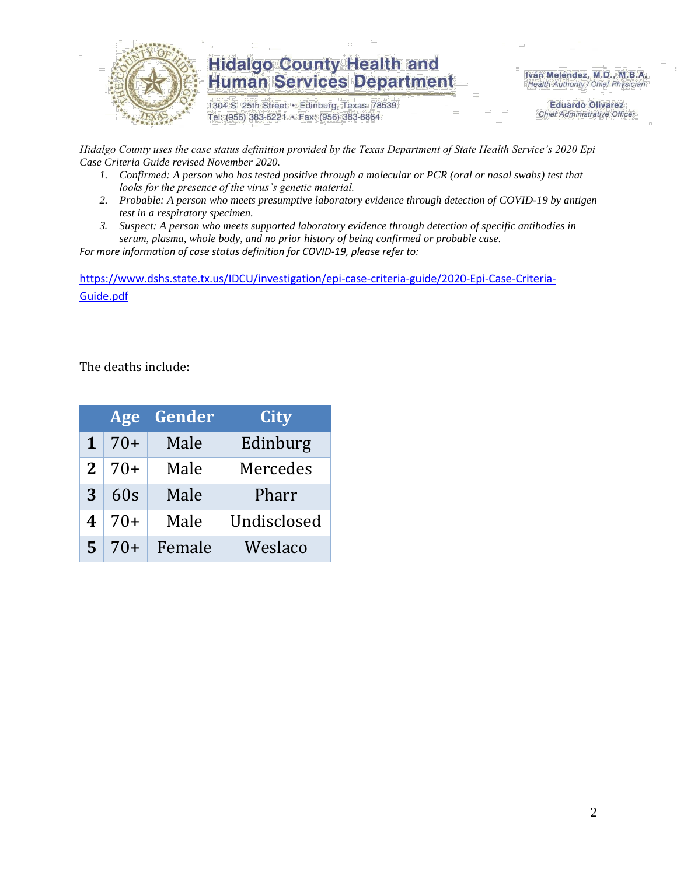

1304 S. 25th Street · Edinburg, Texas 78539 Tel: (956) 383-6221 · Fax: (956) 383-8864

Iván Meléndez, M.D., M.B.A. Health Authority / Chief Physician

> **Eduardo Olivarez Chief Administrative Officer**

*Hidalgo County uses the case status definition provided by the Texas Department of State Health Service's 2020 Epi Case Criteria Guide revised November 2020.*

- *1. Confirmed: A person who has tested positive through a molecular or PCR (oral or nasal swabs) test that looks for the presence of the virus's genetic material.*
- *2. Probable: A person who meets presumptive laboratory evidence through detection of COVID-19 by antigen test in a respiratory specimen.*
- *3. Suspect: A person who meets supported laboratory evidence through detection of specific antibodies in serum, plasma, whole body, and no prior history of being confirmed or probable case.*

*For more information of case status definition for COVID-19, please refer to:*

[https://www.dshs.state.tx.us/IDCU/investigation/epi-case-criteria-guide/2020-Epi-Case-Criteria-](https://www.dshs.state.tx.us/IDCU/investigation/epi-case-criteria-guide/2020-Epi-Case-Criteria-Guide.pdf)[Guide.pdf](https://www.dshs.state.tx.us/IDCU/investigation/epi-case-criteria-guide/2020-Epi-Case-Criteria-Guide.pdf)

The deaths include:

|              | Age   | Gender | City        |
|--------------|-------|--------|-------------|
| $\mathbf 1$  | $70+$ | Male   | Edinburg    |
| $\mathbf{2}$ | $70+$ | Male   | Mercedes    |
| 3            | 60s   | Male   | Pharr       |
| 4            | $70+$ | Male   | Undisclosed |
| 5            | $70+$ | Female | Weslaco     |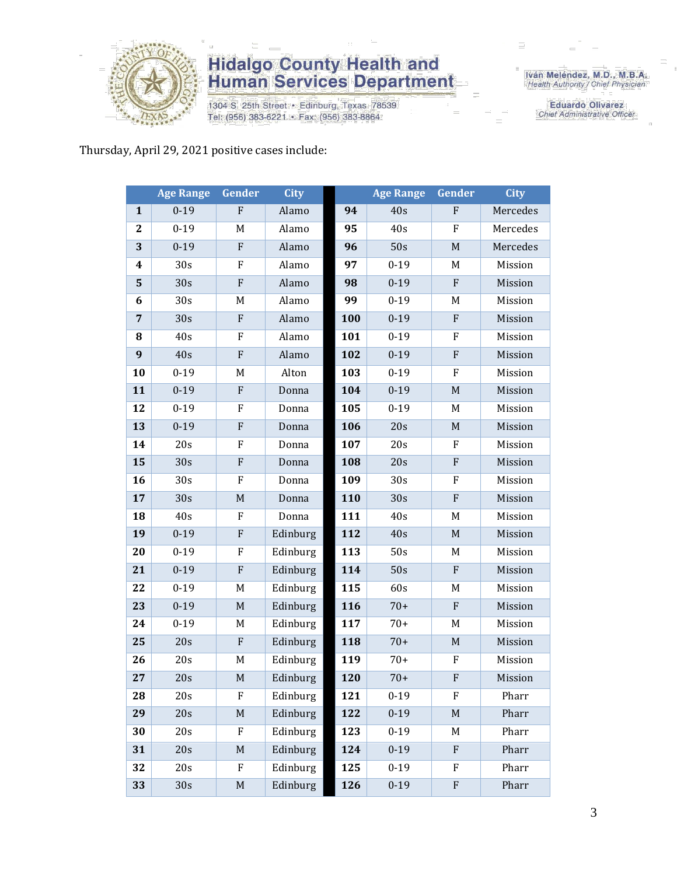

1304 S. 25th Street · Edinburg, Texas 78539 Tel: (956) 383-6221 · Fax: (956) 383-8864

Iván Meléndez, M.D., M.B.A.<br>Health Authority / Chief Physician

**Eduardo Olivarez** Chief Administrative Officer

#### Thursday, April 29, 2021 positive cases include:

|                | <b>Age Range</b> | Gender       | <b>City</b> |     | <b>Age Range</b> | <b>Gender</b>             | <b>City</b> |
|----------------|------------------|--------------|-------------|-----|------------------|---------------------------|-------------|
| $\mathbf{1}$   | $0 - 19$         | F            | Alamo       | 94  | 40s              | $\mathbf F$               | Mercedes    |
| $\mathbf{2}$   | $0 - 19$         | M            | Alamo       | 95  | 40s              | ${\bf F}$                 | Mercedes    |
| 3              | $0 - 19$         | ${\bf F}$    | Alamo       | 96  | 50s              | $\mathbf M$               | Mercedes    |
| 4              | 30s              | F            | Alamo       | 97  | $0 - 19$         | M                         | Mission     |
| 5              | 30s              | $\mathbf F$  | Alamo       | 98  | $0 - 19$         | $\mathbf{F}$              | Mission     |
| 6              | 30s              | M            | Alamo       | 99  | $0 - 19$         | M                         | Mission     |
| $\overline{7}$ | 30s              | $\mathbf F$  | Alamo       | 100 | $0 - 19$         | ${\bf F}$                 | Mission     |
| 8              | 40s              | F            | Alamo       | 101 | $0 - 19$         | F                         | Mission     |
| 9              | 40s              | ${\bf F}$    | Alamo       | 102 | $0 - 19$         | ${\bf F}$                 | Mission     |
| 10             | $0 - 19$         | M            | Alton       | 103 | $0 - 19$         | F                         | Mission     |
| 11             | $0 - 19$         | $\mathbf{F}$ | Donna       | 104 | $0 - 19$         | $\mathbf M$               | Mission     |
| 12             | $0 - 19$         | F            | Donna       | 105 | $0 - 19$         | M                         | Mission     |
| 13             | $0 - 19$         | ${\bf F}$    | Donna       | 106 | 20s              | $\mathbf M$               | Mission     |
| 14             | 20s              | F            | Donna       | 107 | 20s              | F                         | Mission     |
| 15             | 30s              | ${\bf F}$    | Donna       | 108 | 20s              | ${\bf F}$                 | Mission     |
| 16             | 30s              | F            | Donna       | 109 | 30s              | F                         | Mission     |
| 17             | 30s              | $\mathbf M$  | Donna       | 110 | 30s              | ${\bf F}$                 | Mission     |
| 18             | 40s              | F            | Donna       | 111 | 40s              | M                         | Mission     |
| 19             | $0 - 19$         | $\mathbf F$  | Edinburg    | 112 | 40s              | M                         | Mission     |
| 20             | $0 - 19$         | F            | Edinburg    | 113 | 50s              | M                         | Mission     |
| 21             | $0 - 19$         | ${\bf F}$    | Edinburg    | 114 | 50s              | ${\bf F}$                 | Mission     |
| 22             | $0 - 19$         | M            | Edinburg    | 115 | 60s              | M                         | Mission     |
| 23             | $0 - 19$         | $\mathbf M$  | Edinburg    | 116 | $70+$            | ${\bf F}$                 | Mission     |
| 24             | $0 - 19$         | M            | Edinburg    | 117 | $70+$            | M                         | Mission     |
| 25             | 20s              | $\mathbf{F}$ | Edinburg    | 118 | $70+$            | M                         | Mission     |
| 26             | 20s              | M            | Edinburg    | 119 | $70+$            | ${\bf F}$                 | Mission     |
| 27             | 20s              | $\mathbf M$  | Edinburg    | 120 | $70+$            | $\boldsymbol{\mathrm{F}}$ | Mission     |
| 28             | 20s              | F            | Edinburg    | 121 | $0-19$           | F                         | Pharr       |
| 29             | 20s              | $\mathbf M$  | Edinburg    | 122 | $0 - 19$         | $\mathbf M$               | Pharr       |
| 30             | 20s              | F            | Edinburg    | 123 | $0 - 19$         | M                         | Pharr       |
| 31             | 20s              | M            | Edinburg    | 124 | $0 - 19$         | ${\bf F}$                 | Pharr       |
| 32             | 20s              | F            | Edinburg    | 125 | $0 - 19$         | F                         | Pharr       |
| 33             | 30s              | $\mathbf M$  | Edinburg    | 126 | $0 - 19$         | ${\bf F}$                 | Pharr       |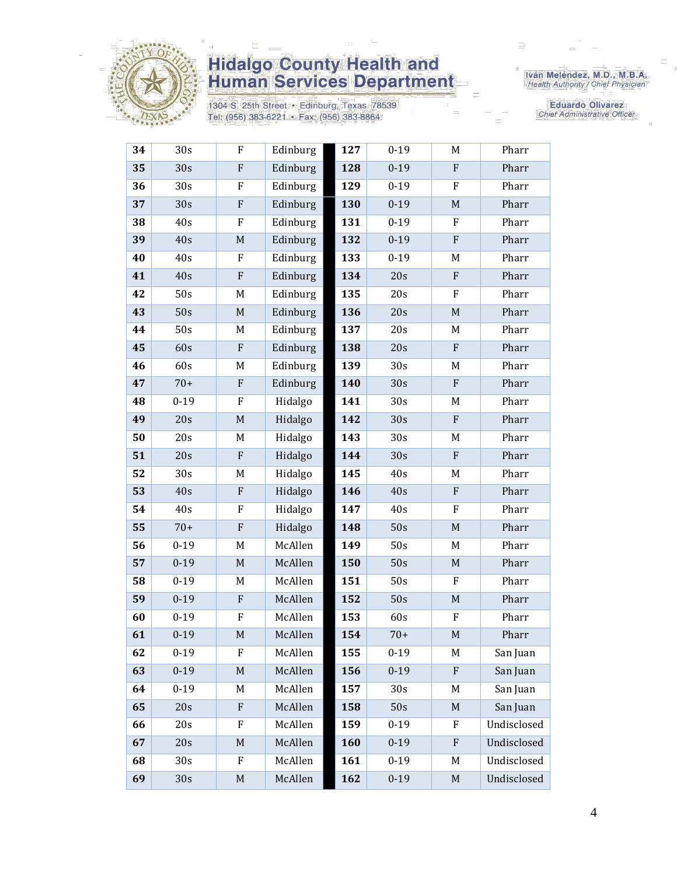

1304 S. 25th Street · Edinburg, Texas 78539 Tel: (956) 383-6221 · Fax: (956) 383-8864

Iván Meléndez, M.D., M.B.A.<br>Health Authority / Chief Physician

**Eduardo Olivarez** Chief Administrative Officer

| 34 | 30s             | F           | Edinburg | 127 | 0-19            | M                         | Pharr       |
|----|-----------------|-------------|----------|-----|-----------------|---------------------------|-------------|
| 35 | 30s             | ${\bf F}$   | Edinburg | 128 | $0 - 19$        | ${\bf F}$                 | Pharr       |
| 36 | 30 <sub>s</sub> | ${\bf F}$   | Edinburg | 129 | $0 - 19$        | ${\bf F}$                 | Pharr       |
| 37 | 30s             | ${\bf F}$   | Edinburg | 130 | $0 - 19$        | $\mathbf M$               | Pharr       |
| 38 | 40s             | ${\bf F}$   | Edinburg | 131 | $0 - 19$        | F                         | Pharr       |
| 39 | 40s             | $\mathbf M$ | Edinburg | 132 | $0 - 19$        | ${\bf F}$                 | Pharr       |
| 40 | 40s             | ${\bf F}$   | Edinburg | 133 | $0 - 19$        | M                         | Pharr       |
| 41 | 40s             | ${\bf F}$   | Edinburg | 134 | 20s             | $\boldsymbol{\mathrm{F}}$ | Pharr       |
| 42 | 50s             | M           | Edinburg | 135 | 20s             | ${\bf F}$                 | Pharr       |
| 43 | 50s             | $\mathbf M$ | Edinburg | 136 | 20s             | $\mathbf M$               | Pharr       |
| 44 | 50s             | M           | Edinburg | 137 | 20s             | M                         | Pharr       |
| 45 | 60s             | ${\bf F}$   | Edinburg | 138 | 20s             | ${\bf F}$                 | Pharr       |
| 46 | 60s             | M           | Edinburg | 139 | 30s             | M                         | Pharr       |
| 47 | $70+$           | ${\bf F}$   | Edinburg | 140 | 30s             | ${\bf F}$                 | Pharr       |
| 48 | $0 - 19$        | F           | Hidalgo  | 141 | 30 <sub>s</sub> | M                         | Pharr       |
| 49 | 20s             | $\mathbf M$ | Hidalgo  | 142 | 30s             | ${\bf F}$                 | Pharr       |
| 50 | 20s             | M           | Hidalgo  | 143 | 30 <sub>s</sub> | M                         | Pharr       |
| 51 | 20s             | ${\bf F}$   | Hidalgo  | 144 | 30s             | ${\bf F}$                 | Pharr       |
| 52 | 30 <sub>s</sub> | M           | Hidalgo  | 145 | 40s             | M                         | Pharr       |
| 53 | 40s             | ${\bf F}$   | Hidalgo  | 146 | 40s             | ${\bf F}$                 | Pharr       |
| 54 | 40s             | ${\bf F}$   | Hidalgo  | 147 | 40s             | ${\bf F}$                 | Pharr       |
| 55 | $70+$           | ${\bf F}$   | Hidalgo  | 148 | 50s             | $\mathbf M$               | Pharr       |
| 56 | $0 - 19$        | M           | McAllen  | 149 | 50s             | M                         | Pharr       |
| 57 | $0 - 19$        | $\mathbf M$ | McAllen  | 150 | 50s             | $\mathbf M$               | Pharr       |
| 58 | $0 - 19$        | M           | McAllen  | 151 | 50s             | F                         | Pharr       |
| 59 | $0 - 19$        | ${\bf F}$   | McAllen  | 152 | 50s             | $\mathbf M$               | Pharr       |
| 60 | $0 - 19$        | ${\bf F}$   | McAllen  | 153 | 60s             | ${\bf F}$                 | Pharr       |
| 61 | $0 - 19$        | $\mathbf M$ | McAllen  | 154 | $70+$           | $\mathbf M$               | Pharr       |
| 62 | $0 - 19$        | F           | McAllen  | 155 | $0 - 19$        | M                         | San Juan    |
| 63 | $0 - 19$        | $\mathbf M$ | McAllen  | 156 | $0 - 19$        | ${\bf F}$                 | San Juan    |
| 64 | $0 - 19$        | M           | McAllen  | 157 | 30s             | M                         | San Juan    |
| 65 | 20s             | ${\bf F}$   | McAllen  | 158 | 50s             | M                         | San Juan    |
| 66 | 20s             | F           | McAllen  | 159 | $0 - 19$        | F                         | Undisclosed |
| 67 | 20s             | $\mathbf M$ | McAllen  | 160 | $0 - 19$        | ${\bf F}$                 | Undisclosed |
| 68 | 30 <sub>s</sub> | F           | McAllen  | 161 | $0 - 19$        | M                         | Undisclosed |
| 69 | 30s             | M           | McAllen  | 162 | $0 - 19$        | M                         | Undisclosed |